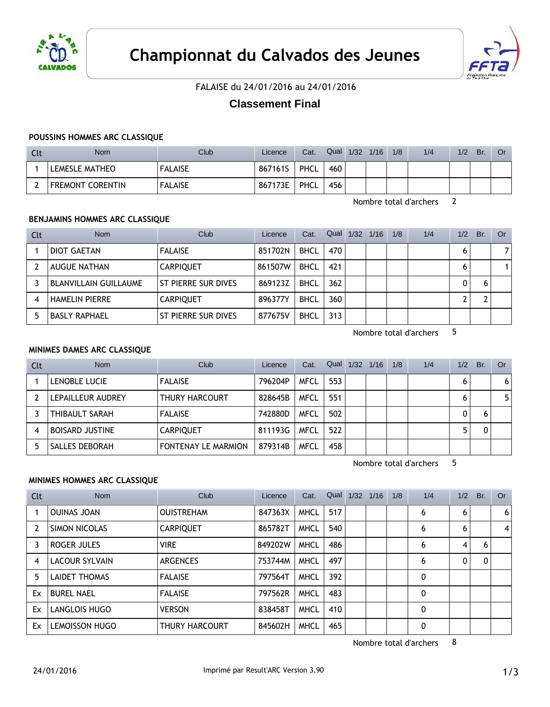



FALAISE du 24/01/2016 au 24/01/2016

# **Classement Final**

#### **POUSSINS HOMMES ARC CLASSIQUE**

| <b>Clt</b> | Nom                     | Club           | Licence | Cat. | Qual | $1/32$ $1/16$ | 1/8 | 1/4 | 1/2 | Br. | Or |
|------------|-------------------------|----------------|---------|------|------|---------------|-----|-----|-----|-----|----|
|            | LEMESLE MATHEO          | <b>FALAISE</b> | 867161S | PHCL | 460  |               |     |     |     |     |    |
|            | <b>FREMONT CORENTIN</b> | <b>FALAISE</b> | 867173E | PHCL | 456  |               |     |     |     |     |    |

Nombre total d'archers 2

### **BENJAMINS HOMMES ARC CLASSIQUE**

| Clt | <b>Nom</b>                   | Club                | Licence | Cat.        | Qual | 1/32 | 1/16 | 1/8 | 1/4 | 1/2 | Br. | <b>Or</b> |
|-----|------------------------------|---------------------|---------|-------------|------|------|------|-----|-----|-----|-----|-----------|
|     | <b>DIOT GAETAN</b>           | <b>FALAISE</b>      | 851702N | <b>BHCL</b> | 470  |      |      |     |     |     |     |           |
|     | AUGUE NATHAN                 | <b>CARPIQUET</b>    | 861507W | <b>BHCL</b> | 421  |      |      |     |     |     |     |           |
|     | <b>BLANVILLAIN GUILLAUME</b> | ST PIERRE SUR DIVES | 869123Z | <b>BHCL</b> | 362  |      |      |     |     |     |     |           |
|     | <b>HAMELIN PIERRE</b>        | <b>CARPIQUET</b>    | 896377Y | <b>BHCL</b> | 360  |      |      |     |     |     |     |           |
|     | <b>BASLY RAPHAEL</b>         | ST PIERRE SUR DIVES | 877675V | <b>BHCL</b> | 313  |      |      |     |     |     |     |           |

Nombre total d'archers 5

### **MINIMES DAMES ARC CLASSIQUE**

| Clt | <b>Nom</b>             | Club                       | Licence | Cat.        | Qual | 1/32 | 1/16 | 1/8 | 1/4 | 1/2 | Br. | Or |
|-----|------------------------|----------------------------|---------|-------------|------|------|------|-----|-----|-----|-----|----|
|     | LENOBLE LUCIE          | <b>FALAISE</b>             | 796204P | <b>MFCL</b> | 553  |      |      |     |     |     |     | 6  |
|     | LEPAILLEUR AUDREY      | THURY HARCOURT             | 828645B | <b>MFCL</b> | 551  |      |      |     |     |     |     | 5  |
|     | THIBAULT SARAH         | <b>FALAISE</b>             | 742880D | <b>MFCL</b> | 502  |      |      |     |     |     | O   |    |
|     | <b>BOISARD JUSTINE</b> | <b>CARPIQUET</b>           | 811193G | <b>MFCL</b> | 522  |      |      |     |     |     |     |    |
|     | <b>SALLES DEBORAH</b>  | <b>FONTENAY LE MARMION</b> | 879314B | <b>MFCL</b> | 458  |      |      |     |     |     |     |    |

Nombre total d'archers 5

### **MINIMES HOMMES ARC CLASSIQUE**

| Clt            | <b>Nom</b>            | Club                  | Licence | Cat.        | Qual | 1/32 | 1/16 | 1/8 | 1/4 | 1/2 | Br.          | Or |
|----------------|-----------------------|-----------------------|---------|-------------|------|------|------|-----|-----|-----|--------------|----|
|                | <b>OUINAS JOAN</b>    | <b>OUISTREHAM</b>     | 847363X | <b>MHCL</b> | 517  |      |      |     | 6   | 6   |              | 6  |
| $\overline{2}$ | SIMON NICOLAS         | <b>CARPIQUET</b>      | 865782T | <b>MHCL</b> | 540  |      |      |     | 6   | 6   |              | 4  |
| 3              | ROGER JULES           | <b>VIRE</b>           | 849202W | <b>MHCL</b> | 486  |      |      |     | 6   | 4   | 6            |    |
| 4              | <b>LACOUR SYLVAIN</b> | <b>ARGENCES</b>       | 753744M | <b>MHCL</b> | 497  |      |      |     | 6   | 0   | $\mathbf{0}$ |    |
| 5              | <b>LAIDET THOMAS</b>  | <b>FALAISE</b>        | 797564T | <b>MHCL</b> | 392  |      |      |     | 0   |     |              |    |
| Ex             | <b>BUREL NAEL</b>     | <b>FALAISE</b>        | 797562R | <b>MHCL</b> | 483  |      |      |     | 0   |     |              |    |
| Ex             | LANGLOIS HUGO         | <b>VERSON</b>         | 838458T | <b>MHCL</b> | 410  |      |      |     | 0   |     |              |    |
| Ex             | <b>LEMOISSON HUGO</b> | <b>THURY HARCOURT</b> | 845602H | <b>MHCL</b> | 465  |      |      |     | 0   |     |              |    |

Nombre total d'archers 8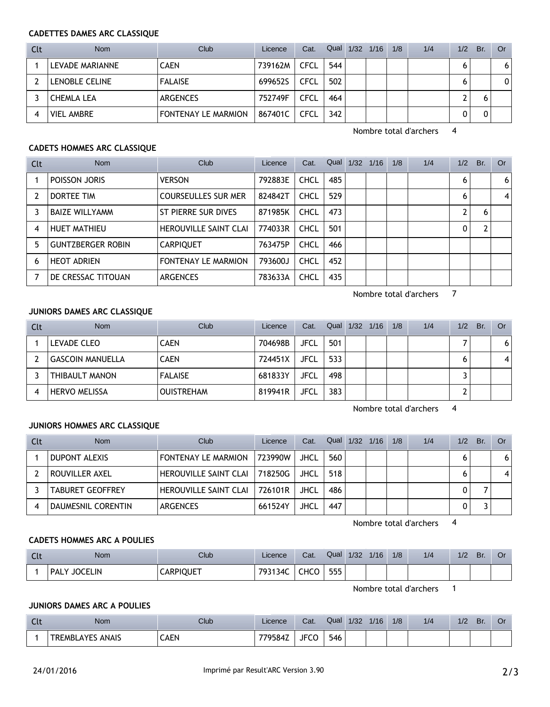### **CADETTES DAMES ARC CLASSIQUE**

| Clt | <b>Nom</b>        | Club                       | Licence | Cat.        | Qual | $1/32$ $1/16$ | 1/8 | 1/4 | 1/2 | Br. | Or |
|-----|-------------------|----------------------------|---------|-------------|------|---------------|-----|-----|-----|-----|----|
|     | LEVADE MARIANNE   | <b>CAEN</b>                | 739162M | <b>CFCL</b> | 544  |               |     |     | O   |     | 6  |
|     | LENOBLE CELINE    | <b>FALAISE</b>             | 699652S | <b>CFCL</b> | 502  |               |     |     | O   |     | 0  |
|     | <b>CHEMLA LEA</b> | <b>ARGENCES</b>            | 752749F | <b>CFCL</b> | 464  |               |     |     |     |     |    |
|     | <b>VIEL AMBRE</b> | <b>FONTENAY LE MARMION</b> | 867401C | CFCL        | 342  |               |     |     |     |     |    |

Nombre total d'archers 4

### **CADETS HOMMES ARC CLASSIQUE**

| Clt | <b>Nom</b>               | Club                         | Licence | Cat.        | Qual | 1/32 | 1/16 | 1/8 | 1/4 | 1/2 | Br. | <b>Or</b> |
|-----|--------------------------|------------------------------|---------|-------------|------|------|------|-----|-----|-----|-----|-----------|
|     | POISSON JORIS            | <b>VERSON</b>                | 792883E | <b>CHCL</b> | 485  |      |      |     |     | 6   |     | 6         |
|     | DORTEE TIM               | <b>COURSEULLES SUR MER</b>   | 824842T | <b>CHCL</b> | 529  |      |      |     |     | 6   |     | 4         |
|     | <b>BAIZE WILLYAMM</b>    | ST PIERRE SUR DIVES          | 871985K | <b>CHCL</b> | 473  |      |      |     |     | 2   | 6   |           |
| 4   | <b>HUET MATHIEU</b>      | <b>HEROUVILLE SAINT CLAI</b> | 774033R | <b>CHCL</b> | 501  |      |      |     |     | 0   |     |           |
| 5   | <b>GUNTZBERGER ROBIN</b> | <b>CARPIQUET</b>             | 763475P | <b>CHCL</b> | 466  |      |      |     |     |     |     |           |
| 6   | <b>HEOT ADRIEN</b>       | <b>FONTENAY LE MARMION</b>   | 793600J | <b>CHCL</b> | 452  |      |      |     |     |     |     |           |
|     | DE CRESSAC TITOUAN       | <b>ARGENCES</b>              | 783633A | <b>CHCL</b> | 435  |      |      |     |     |     |     |           |

Nombre total d'archers 7

#### **JUNIORS DAMES ARC CLASSIQUE**

| Clt | <b>Nom</b>           | Club              | Licence | Cat.        | Qual | 1/32 | 1/16 | 1/8 | 1/4 | 1/2 | Br. | 0r |
|-----|----------------------|-------------------|---------|-------------|------|------|------|-----|-----|-----|-----|----|
|     | LEVADE CLEO          | CAEN              | 704698B | <b>JFCL</b> | 501  |      |      |     |     |     |     | 6  |
|     | GASCOIN MANUELLA     | <b>CAEN</b>       | 724451X | <b>JFCL</b> | 533  |      |      |     |     |     |     | 4  |
|     | THIBAULT MANON       | <b>FALAISE</b>    | 681833Y | <b>JFCL</b> | 498  |      |      |     |     |     |     |    |
| 4   | <b>HERVO MELISSA</b> | <b>OUISTREHAM</b> | 819941R | JFCL        | 383  |      |      |     |     |     |     |    |

Nombre total d'archers 4

### **JUNIORS HOMMES ARC CLASSIQUE**

| Clt | <b>Nom</b>              | Club                         | Licence | Cat.        | Qual | $1/32$ $1/16$ | 1/8 | 1/4 | 1/2 | Br. | 0r |
|-----|-------------------------|------------------------------|---------|-------------|------|---------------|-----|-----|-----|-----|----|
|     | DUPONT ALEXIS           | <b>FONTENAY LE MARMION</b>   | 723990W | <b>JHCL</b> | 560  |               |     |     |     |     | 6  |
|     | ROUVILLER AXEL          | HEROUVILLE SAINT CLAI        | 718250G | <b>JHCL</b> | 518  |               |     |     |     |     |    |
|     | <b>TABURET GEOFFREY</b> | <b>HEROUVILLE SAINT CLAI</b> | 726101R | JHCL        | 486  |               |     |     |     |     |    |
|     | DAUMESNIL CORENTIN      | ARGENCES                     | 661524Y | JHCL        | 447  |               |     |     |     |     |    |

Nombre total d'archers 4

### **CADETS HOMMES ARC A POULIES**

| <b>Clt</b> | Nom                           | Club             | Licence | Cat. | Qual | 1/32 | 1/16 | 1/8 | 1/4 | 1/2 | Br. | Ö٢ |
|------------|-------------------------------|------------------|---------|------|------|------|------|-----|-----|-----|-----|----|
|            | <b>JOCELIN</b><br><b>PALY</b> | <b>CARPIQUET</b> | 793134C | CHCO | 555  |      |      |     |     |     |     |    |

Nombre total d'archers 1

## **JUNIORS DAMES ARC A POULIES**

| <b>Clt</b> | Nom                     | Club | Licence         | Cat.           | Qual | 1/32 | 1/16 | 1/8 | 1/4 | 1/2 | Br. | Or |
|------------|-------------------------|------|-----------------|----------------|------|------|------|-----|-----|-----|-----|----|
|            | <b>TREMBLAYES ANAIS</b> | CAEN | 770E0A7<br>704L | $- - -$<br>JFL | 546  |      |      |     |     |     |     |    |